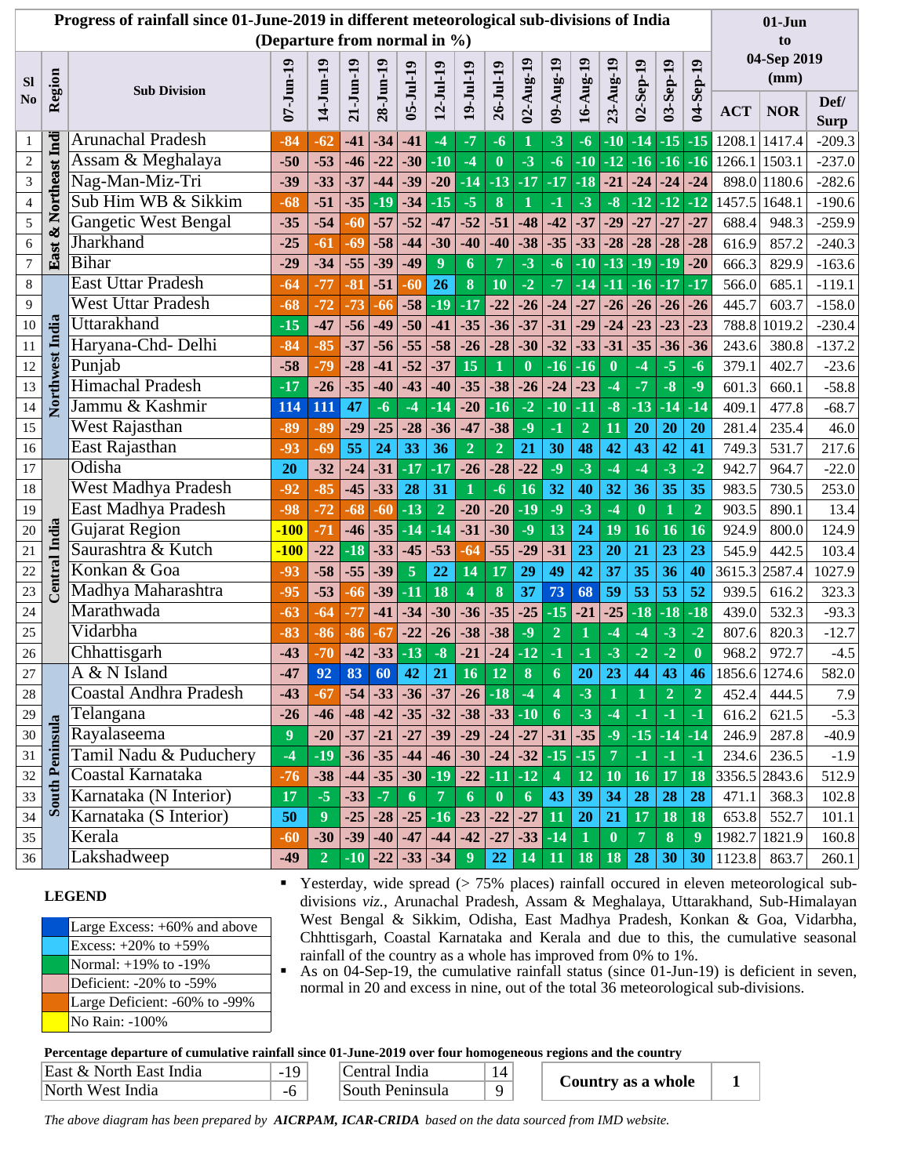|                                                                                                                  | Progress of rainfall since 01-June-2019 in different meteorological sub-divisions of India<br>$01-J$ un                                                                            |                                                                                                              |           |                |                |                 |                |                 |                         |                |                      |                |                    |                |                  |                |                  |               |               |                                                                                         |
|------------------------------------------------------------------------------------------------------------------|------------------------------------------------------------------------------------------------------------------------------------------------------------------------------------|--------------------------------------------------------------------------------------------------------------|-----------|----------------|----------------|-----------------|----------------|-----------------|-------------------------|----------------|----------------------|----------------|--------------------|----------------|------------------|----------------|------------------|---------------|---------------|-----------------------------------------------------------------------------------------|
|                                                                                                                  | (Departure from normal in %)<br>to                                                                                                                                                 |                                                                                                              |           |                |                |                 |                |                 |                         |                |                      |                |                    |                |                  |                |                  |               |               |                                                                                         |
|                                                                                                                  |                                                                                                                                                                                    |                                                                                                              |           |                |                |                 |                |                 | 04-Sep 2019             |                |                      |                |                    |                |                  |                |                  |               |               |                                                                                         |
| <b>Sl</b>                                                                                                        |                                                                                                                                                                                    | <b>Sub Division</b>                                                                                          |           |                | $21 - J$ un-19 | 28-Jun-19       |                |                 |                         |                |                      | 09-Aug-19      |                    | 23-Aug-19      |                  |                |                  | (mm)          |               |                                                                                         |
| N <sub>0</sub>                                                                                                   | Region                                                                                                                                                                             |                                                                                                              | 07-Jun-19 | 14-Jun-19      |                |                 | $05 - Ju119$   | $12 - JuI - 19$ | $19 -$ Jul-19           | 26-Jul-19      | $02 - \text{Aug-19}$ |                | 16-Aug-19          |                | $02 - Sep-19$    | 03-Sep-19      | 04-Sep-19        | <b>ACT</b>    | <b>NOR</b>    | Def/                                                                                    |
|                                                                                                                  |                                                                                                                                                                                    |                                                                                                              |           |                |                |                 |                |                 |                         |                |                      |                |                    |                |                  |                |                  |               |               | <b>Surp</b>                                                                             |
| $\mathbf{1}$                                                                                                     | Northeast Indi                                                                                                                                                                     | <b>Arunachal Pradesh</b>                                                                                     | $-84$     | $-62$          | $-41$          | $-34$           | $-41$          | -4              | $-7$                    | $-6$           | 1                    | $-3$           | $-6$               | $-10$          | $-14$            | $-15$          | $-15$            | 1208.1 1417.4 |               | $-209.3$                                                                                |
| $\sqrt{2}$                                                                                                       |                                                                                                                                                                                    | Assam & Meghalaya                                                                                            | $-50$     | $-53$          | $-46$          | $-22$           | $-30$          | $-10$           | $-4$                    | $\mathbf{0}$   | $-3$                 | $-6$           | $-10$              | $-12$          | $-16$            | $-16$          | $-16$            | 1266.1        | 1503.1        | $-237.0$                                                                                |
| $\mathfrak{Z}$                                                                                                   |                                                                                                                                                                                    | Nag-Man-Miz-Tri                                                                                              | $-39$     | $-33$          | $-37$          | $-44$           | $-39$          | $-20$           | $-14$                   | $-13$          | $-17$                | $-17$          | $-18$              | $-21$          | $-24$            | $-24$          | $-24$            |               | 898.0 1180.6  | $-282.6$                                                                                |
| $\overline{4}$                                                                                                   |                                                                                                                                                                                    | Sub Him WB & Sikkim                                                                                          | $-68$     | $-51$          | $-35$          | $-19$           | $-34$          | $-15$           | $-5$                    | 8              | $\mathbf{1}$         | $-1$           | $-3$               | $-8$           | $-12$            | $-12$          | $-12$            | 1457.5 1648.1 |               | $-190.6$                                                                                |
| $\sqrt{5}$                                                                                                       | ಳ                                                                                                                                                                                  | <b>Gangetic West Bengal</b>                                                                                  | $-35$     | $-54$          | $-60$          | $-57$           | $-52$          | $-47$           | $-52$                   | $-51$          | $-48$                | $-42$          | $-37$              | $-29$          | $-27$            | $-27$          | $-27$            | 688.4         | 948.3         | $-259.9$                                                                                |
| $\sqrt{6}$                                                                                                       |                                                                                                                                                                                    | Jharkhand                                                                                                    | $-25$     | $-61$          | $-69$          | $-58$           | $-44$          | $-30$           | $-40$                   | $-40$          | $-38$                | $-35$          | $-33$              | $-28$          | $-28$            | $-28$          | $-28$            | 616.9         | 857.2         | $-240.3$                                                                                |
| $\boldsymbol{7}$                                                                                                 | East.                                                                                                                                                                              | <b>Bihar</b>                                                                                                 | $-29$     | $-34$          | $-55$          | $-39$           | $-49$          | 9               | 6                       | 7              | $-3$                 | $-6$           | $-10$              | $-13$          | $-19$            | $-19$          | $-20$            | 666.3         | 829.9         | $-163.6$                                                                                |
| $\,$ 8 $\,$                                                                                                      |                                                                                                                                                                                    | <b>East Uttar Pradesh</b>                                                                                    | $-64$     | $-77$          | $-81$          | $-51$           | $-60$          | 26              | $\bf{8}$                | 10             | $-2$                 | $-7$           | $-14$              | $-11$          | $-16$            | $-17$          | $-17$            | 566.0         | 685.1         | $-119.1$                                                                                |
| 9                                                                                                                |                                                                                                                                                                                    | <b>West Uttar Pradesh</b>                                                                                    | $-68$     | $-72$          | $-73$          | $-66$           | $-58$          | $-19$           | $-17$                   | $-22$          | $-26$                | $-24$          | $-27$              | $-26$          | $-26$            | $-26$          | $-26$            | 445.7         | 603.7         | $-158.0$                                                                                |
| 10                                                                                                               |                                                                                                                                                                                    | Uttarakhand                                                                                                  | $-15$     | $-47$          | $-56$          | $-49$           | $-50$          | $-41$           | $-35$                   | $-36$          | $-37$                | $-31$          | $-29$              | $-24$          | $-23$            | $-23$          | $-23$            | 788.8         | 1019.2        | $-230.4$                                                                                |
| 11                                                                                                               |                                                                                                                                                                                    | Haryana-Chd- Delhi                                                                                           | $-84$     | $-85$          | $-37$          | $-56$           | $-55$          | $-58$           | $-26$                   | $-28$          | $-30$                | $-32$          | $-33$              | $-31$          | $-35$            | $-36$          | $-36$            | 243.6         | 380.8         | $-137.2$                                                                                |
| 12                                                                                                               |                                                                                                                                                                                    | Punjab                                                                                                       | $-58$     | $-79$          | $-28$          | $-41$           | $-52$          | $-37$           | 15                      |                | $\bf{0}$             | $-16$          | $-16$              | $\bf{0}$       | $-4$             | $-5$           | $-6$             | 379.1         | 402.7         | $-23.6$                                                                                 |
| 13                                                                                                               |                                                                                                                                                                                    | <b>Himachal Pradesh</b>                                                                                      | $-17$     | $-26$          | $-35$          | $-40$           | $-43$          | $-40$           | $-35$                   | $-38$          | $-26$                | $-24$          | $-23$              | $-4$           | $-7$             | $-8$           | $-9$             | 601.3         | 660.1         | $-58.8$                                                                                 |
| 14                                                                                                               | Northwest India                                                                                                                                                                    | Jammu & Kashmir                                                                                              | 114       | 111            | 47             | $-6$            | $-4$           | $-14$           | $-20$                   | $-16$          | $-2$                 | $-10$          | $-11$              | $-8$           | $-13$            | $-14$          | $-14$            | 409.1         | 477.8         | $-68.7$                                                                                 |
| 15                                                                                                               |                                                                                                                                                                                    | West Rajasthan                                                                                               | $-89$     | $-89$          | $-29$          | $-25$           | $-28$          | $-36$           | $-47$                   | $-38$          | $-9$                 | $-1$           | $\overline{2}$     | 11             | 20               | 20             | 20               | 281.4         | 235.4         | 46.0                                                                                    |
| 16                                                                                                               |                                                                                                                                                                                    | East Rajasthan                                                                                               | $-93$     | $-69$          | 55             | 24              | 33             | 36              | $\overline{2}$          | $\overline{2}$ | 21                   | 30             | 48                 | 42             | 43               | 42             | 41               | 749.3         | 531.7         | 217.6                                                                                   |
| 17                                                                                                               |                                                                                                                                                                                    | Odisha                                                                                                       | 20        | $-32$          | $-24$          | $-31$           | $-17$          | $-17$           | $-26$                   | $-28$          | $-22$                | $-9$           | $-3$               | $-4$           | $-4$             | $-3$           | $-2$             | 942.7         | 964.7         | $-22.0$                                                                                 |
| 18                                                                                                               |                                                                                                                                                                                    | West Madhya Pradesh                                                                                          | $-92$     | $-85$          | $-45$          | $-33$           | 28             | 31              | 1                       | $-6$           | 16                   | 32             | 40                 | 32             | 36               | 35             | 35               | 983.5         | 730.5         | 253.0                                                                                   |
| 19                                                                                                               |                                                                                                                                                                                    | East Madhya Pradesh                                                                                          | $-98$     | $-72$          | $-68$          | $-60$           | $-13$          | $\overline{2}$  | $-20$                   | $-20$          | $-19$                | $-9$           | $-3$               | $-4$           | $\boldsymbol{0}$ | 1              | $\overline{2}$   | 903.5         | 890.1         | 13.4                                                                                    |
| 20                                                                                                               | India                                                                                                                                                                              | <b>Gujarat Region</b>                                                                                        | $-100$    | $-71$          | $-46$          | $-35$           | $-14$          | $-14$           | $-31$                   | $-30$          | $-9$                 | 13             | 24                 | 19             | 16               | 16             | 16               | 924.9         | 800.0         | 124.9                                                                                   |
| 21                                                                                                               |                                                                                                                                                                                    | Saurashtra & Kutch                                                                                           | $-100$    | $-22$          | $-18$          | $-33$           | $-45$          | $-53$           | $-64$                   | $-55$          | $-29$                | $-31$          | 23                 | 20             | 21               | 23             | 23               | 545.9         | 442.5         | 103.4                                                                                   |
| 22                                                                                                               | Central                                                                                                                                                                            | Konkan & Goa                                                                                                 | $-93$     | $-58$          | $-55$          | $-39$           | $\overline{5}$ | 22              | 14                      | 17             | 29                   | 49             | 42                 | 37             | 35               | 36             | 40               | 3615.3        | 2587.4        | 1027.9                                                                                  |
| 23                                                                                                               |                                                                                                                                                                                    | Madhya Maharashtra                                                                                           | $-95$     | $-53$          | -66            | $-39$           | $-11$          | 18              | $\overline{\mathbf{4}}$ | 8              | 37                   | 73             | 68                 | 59             | 53               | 53             | 52               | 939.5         | 616.2         | 323.3                                                                                   |
| 24                                                                                                               |                                                                                                                                                                                    | Marathwada                                                                                                   | $-63$     | $-64$          | $-77$          | $-41$           | $-34$          | $-30$           | $-36$                   | $-35$          | $-25$                | $-15$          | $-21$              | $-25$          | $-18$            | $-18$          | $-18$            | 439.0         | 532.3         | $-93.3$                                                                                 |
| 25                                                                                                               |                                                                                                                                                                                    | Vidarbha                                                                                                     | $-83$     | $-86$          | $-86$          | $-67$           | $-22$          | $-26$           | $-38$                   | $-38$          | $-9$                 | $\overline{2}$ | 1                  | $-4$           | $-4$             | $-3$           | $-2$             | 807.6         | 820.3         | $-12.7$                                                                                 |
| 26                                                                                                               |                                                                                                                                                                                    | Chhattisgarh                                                                                                 | $-43$     | $-70$          | $-42$          | $-33$           | $-13$          | $-8$            | $-21$                   | $-24$          | $-12$                | $-1$           | $-1$               | $-3$           | $-2$             | $-2$           | $\boldsymbol{0}$ | 968.2         | 972.7         | $-4.5$                                                                                  |
| $27\,$                                                                                                           |                                                                                                                                                                                    | A & N Island                                                                                                 | $-47$     | 92             | 83             | 60              | 42             | 21              | 16                      | 12             | 8                    | 6              | 20                 | 23             | 44               | 43             | 46               |               | 1856.6 1274.6 | 582.0                                                                                   |
| 28                                                                                                               |                                                                                                                                                                                    | <b>Coastal Andhra Pradesh</b>                                                                                | $-43$     | $-67$          | $-54$          |                 | $-33$ $-36$    | $-37$           | $-26$                   | $-18$          | $-4$                 | 4              | $-3$               | 1              | 1                | $\overline{2}$ | $\overline{2}$   | 452.4         | 444.5         | 7.9                                                                                     |
| 29                                                                                                               |                                                                                                                                                                                    | Telangana                                                                                                    | $-26$     | $-46$          | $-48$          | $-42$           | $-35$          | $-32$           | $-38$                   | $-33$          | $-10$                | 6              | $-3$               | $-4$           | $-1$             | $-1$           | $-1$             | 616.2         | 621.5         | $-5.3$                                                                                  |
| 30                                                                                                               |                                                                                                                                                                                    | Rayalaseema                                                                                                  | 9         | $-20$          | $-37$          | $-21$           | $-27$          | $-39$           | $-29$                   | $-24$          | $-27$                | $-31$          | $-35$              | $-9$           | $-15$            | $-14$          | $-14$            | 246.9         | 287.8         | $-40.9$                                                                                 |
| 31                                                                                                               |                                                                                                                                                                                    | Tamil Nadu & Puduchery                                                                                       | $-4$      | $-19$          | $-36$          | $-35$           | $-44$          | $-46$           | $-30$                   | $-24$          | $-32$                | $-15$          | $-15$              | $\overline{7}$ | $-1$             | $-1$           | $-1$             | 234.6         | 236.5         | $-1.9$                                                                                  |
| 32                                                                                                               |                                                                                                                                                                                    | Coastal Karnataka                                                                                            | $-76$     | $-38$          | $-44$          | $-35$           | $-30$          | $-19$           | $-22$                   | $-11$          | $-12$                | $\overline{4}$ | 12                 | 10             | 16               | 17             | 18               | 3356.5 2843.6 |               | 512.9                                                                                   |
| 33                                                                                                               | <b>South Peninsula</b>                                                                                                                                                             | Karnataka (N Interior)                                                                                       | 17        | $-5$           | $-33$          | $-7$            | 6              | $\overline{7}$  | 6                       | $\bf{0}$       | 6                    | 43             | 39                 | 34             | 28               | 28             | 28               | 471.1         | 368.3         | 102.8                                                                                   |
| 34                                                                                                               |                                                                                                                                                                                    | Karnataka (S Interior)                                                                                       | 50        | 9              | $-25$          | $-28$           | $-25$          | $-16$           | $-23$                   | $-22$          | $-27$                | 11             | 20                 | 21             | 17               | 18             | 18               | 653.8         | 552.7         | 101.1                                                                                   |
| 35                                                                                                               |                                                                                                                                                                                    | Kerala                                                                                                       | $-60$     | $-30$          | $-39$          | $-40$           | $-47$          | $-44$           | $-42$                   | $-27$          | $-33$                | $-14$          | $\mathbf{1}$       | $\bf{0}$       | $\overline{7}$   | 8              | $\boldsymbol{9}$ | 1982.7 1821.9 |               | 160.8                                                                                   |
| 36                                                                                                               |                                                                                                                                                                                    | Lakshadweep                                                                                                  | $-49$     | $\overline{2}$ | $-10$          | $-22$           | $-33$          | $-34$           | 9                       | 22             | 14                   | 11             | 18                 | 18             | 28               | 30             | 30               | 1123.8        | 863.7         | 260.1                                                                                   |
|                                                                                                                  |                                                                                                                                                                                    |                                                                                                              |           |                |                |                 |                |                 |                         |                |                      |                |                    |                |                  |                |                  |               |               | Yesterday, wide spread $($ > 75% places) rainfall occured in eleven meteorological sub- |
|                                                                                                                  |                                                                                                                                                                                    | <b>LEGEND</b>                                                                                                |           |                |                |                 |                |                 |                         |                |                      |                |                    |                |                  |                |                  |               |               | divisions viz., Arunachal Pradesh, Assam & Meghalaya, Uttarakhand, Sub-Himalayan        |
| West Bengal & Sikkim, Odisha, East Madhya Pradesh, Konkan & Goa, Vidarbha,<br>Large Excess: +60% and above       |                                                                                                                                                                                    |                                                                                                              |           |                |                |                 |                |                 |                         |                |                      |                |                    |                |                  |                |                  |               |               |                                                                                         |
| Chhttisgarh, Coastal Karnataka and Kerala and due to this, the cumulative seasonal<br>Excess: $+20\%$ to $+59\%$ |                                                                                                                                                                                    |                                                                                                              |           |                |                |                 |                |                 |                         |                |                      |                |                    |                |                  |                |                  |               |               |                                                                                         |
|                                                                                                                  | rainfall of the country as a whole has improved from 0% to 1%.<br>Normal: +19% to -19%<br>As on 04-Sep-19, the cumulative rainfall status (since 01-Jun-19) is deficient in seven, |                                                                                                              |           |                |                |                 |                |                 |                         |                |                      |                |                    |                |                  |                |                  |               |               |                                                                                         |
| Deficient: -20% to -59%<br>normal in 20 and excess in nine, out of the total 36 meteorological sub-divisions.    |                                                                                                                                                                                    |                                                                                                              |           |                |                |                 |                |                 |                         |                |                      |                |                    |                |                  |                |                  |               |               |                                                                                         |
|                                                                                                                  | Large Deficient: -60% to -99%                                                                                                                                                      |                                                                                                              |           |                |                |                 |                |                 |                         |                |                      |                |                    |                |                  |                |                  |               |               |                                                                                         |
|                                                                                                                  | No Rain: -100%                                                                                                                                                                     |                                                                                                              |           |                |                |                 |                |                 |                         |                |                      |                |                    |                |                  |                |                  |               |               |                                                                                         |
|                                                                                                                  |                                                                                                                                                                                    | Percentage departure of cumulative rainfall since 01-June-2019 over four homogeneous regions and the country |           |                |                |                 |                |                 |                         |                |                      |                |                    |                |                  |                |                  |               |               |                                                                                         |
|                                                                                                                  |                                                                                                                                                                                    | East & North East India                                                                                      | $-19$     |                |                | Central India   |                |                 |                         | 14             |                      |                | Country as a whole |                |                  |                |                  | $\mathbf{1}$  |               |                                                                                         |
|                                                                                                                  |                                                                                                                                                                                    | North West India                                                                                             | $-6$      |                |                | South Peninsula |                |                 |                         | 9              |                      |                |                    |                |                  |                |                  |               |               |                                                                                         |
|                                                                                                                  | The above diagram has been prepared by AICRPAM, ICAR-CRIDA based on the data sourced from IMD website.                                                                             |                                                                                                              |           |                |                |                 |                |                 |                         |                |                      |                |                    |                |                  |                |                  |               |               |                                                                                         |

## **LEGEND**

| Large Excess: $+60\%$ and above |
|---------------------------------|
| Excess: $+20\%$ to $+59\%$      |
| Normal: $+19\%$ to $-19\%$      |
| Deficient: $-20\%$ to $-59\%$   |
| Large Deficient: -60% to -99%   |
| No Rain: -100%                  |

| East & North East India | Central India   |  |
|-------------------------|-----------------|--|
| North West India        | South Peninsula |  |

| Central India   |  | Country as a whole |  |
|-----------------|--|--------------------|--|
| South Peninsula |  |                    |  |